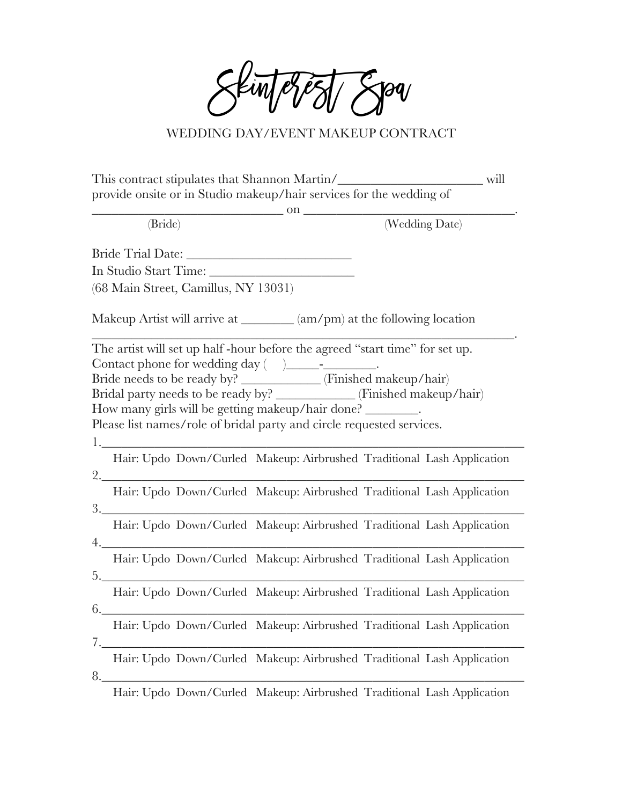Skinterest Spa

## WEDDING DAY/EVENT MAKEUP CONTRACT

| This contract stipulates that Shannon Martin/<br>will<br>provide onsite or in Studio makeup/hair services for the wedding of                                                                                                                                                |  |  |  |  |  |                                               |  |
|-----------------------------------------------------------------------------------------------------------------------------------------------------------------------------------------------------------------------------------------------------------------------------|--|--|--|--|--|-----------------------------------------------|--|
|                                                                                                                                                                                                                                                                             |  |  |  |  |  | $\sim$ 00 $\sim$<br>(Wedding Date)<br>(Bride) |  |
|                                                                                                                                                                                                                                                                             |  |  |  |  |  |                                               |  |
|                                                                                                                                                                                                                                                                             |  |  |  |  |  |                                               |  |
|                                                                                                                                                                                                                                                                             |  |  |  |  |  |                                               |  |
| (68 Main Street, Camillus, NY 13031)                                                                                                                                                                                                                                        |  |  |  |  |  |                                               |  |
| Makeup Artist will arrive at _______ (am/pm) at the following location                                                                                                                                                                                                      |  |  |  |  |  |                                               |  |
| The artist will set up half-hour before the agreed "start time" for set up.<br>Contact phone for wedding day ( )_______________.<br>Bride needs to be ready by? ___________ (Finished makeup/hair)<br>Bridal party needs to be ready by? ____________(Finished makeup/hair) |  |  |  |  |  |                                               |  |
| How many girls will be getting makeup/hair done? ________.                                                                                                                                                                                                                  |  |  |  |  |  |                                               |  |
| Please list names/role of bridal party and circle requested services.                                                                                                                                                                                                       |  |  |  |  |  |                                               |  |
| 1.                                                                                                                                                                                                                                                                          |  |  |  |  |  |                                               |  |
| Hair: Updo Down/Curled Makeup: Airbrushed Traditional Lash Application                                                                                                                                                                                                      |  |  |  |  |  |                                               |  |
| 2.<br>Hair: Updo Down/Curled Makeup: Airbrushed Traditional Lash Application                                                                                                                                                                                                |  |  |  |  |  |                                               |  |
| Hair: Updo Down/Curled Makeup: Airbrushed Traditional Lash Application<br>4.                                                                                                                                                                                                |  |  |  |  |  |                                               |  |
| Hair: Updo Down/Curled Makeup: Airbrushed Traditional Lash Application<br>5.                                                                                                                                                                                                |  |  |  |  |  |                                               |  |
| Hair: Updo Down/Curled Makeup: Airbrushed Traditional Lash Application<br>6.                                                                                                                                                                                                |  |  |  |  |  |                                               |  |
| Hair: Updo Down/Curled Makeup: Airbrushed Traditional Lash Application                                                                                                                                                                                                      |  |  |  |  |  |                                               |  |
| Hair: Updo Down/Curled Makeup: Airbrushed Traditional Lash Application<br>8.                                                                                                                                                                                                |  |  |  |  |  |                                               |  |

Hair: Updo Down/Curled Makeup: Airbrushed Traditional Lash Application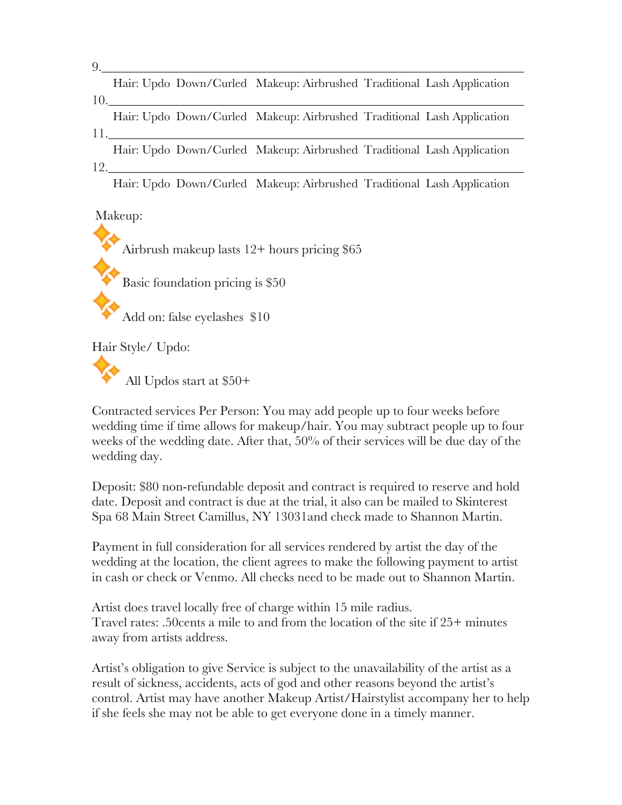| 9. |     |                       |                                                                        |  |
|----|-----|-----------------------|------------------------------------------------------------------------|--|
|    |     |                       | Hair: Updo Down/Curled Makeup: Airbrushed Traditional Lash Application |  |
|    |     | $10.$ $\qquad \qquad$ |                                                                        |  |
|    |     |                       | Hair: Updo Down/Curled Makeup: Airbrushed Traditional Lash Application |  |
|    | 11. |                       |                                                                        |  |
|    |     |                       | Hair: Updo Down/Curled Makeup: Airbrushed Traditional Lash Application |  |
|    |     | 12.                   |                                                                        |  |
|    |     |                       | Hair: Updo Down/Curled Makeup: Airbrushed Traditional Lash Application |  |

Makeup:

Airbrush makeup lasts 12+ hours pricing \$65

Basic foundation pricing is \$50

Add on: false eyelashes \$10

Hair Style/ Updo:

All Updos start at \$50+

Contracted services Per Person: You may add people up to four weeks before wedding time if time allows for makeup/hair. You may subtract people up to four weeks of the wedding date. After that, 50% of their services will be due day of the wedding day.

Deposit: \$80 non-refundable deposit and contract is required to reserve and hold date. Deposit and contract is due at the trial, it also can be mailed to Skinterest Spa 68 Main Street Camillus, NY 13031and check made to Shannon Martin.

Payment in full consideration for all services rendered by artist the day of the wedding at the location, the client agrees to make the following payment to artist in cash or check or Venmo. All checks need to be made out to Shannon Martin.

Artist does travel locally free of charge within 15 mile radius. Travel rates: .50cents a mile to and from the location of the site if 25+ minutes away from artists address.

Artist's obligation to give Service is subject to the unavailability of the artist as a result of sickness, accidents, acts of god and other reasons beyond the artist's control. Artist may have another Makeup Artist/Hairstylist accompany her to help if she feels she may not be able to get everyone done in a timely manner.